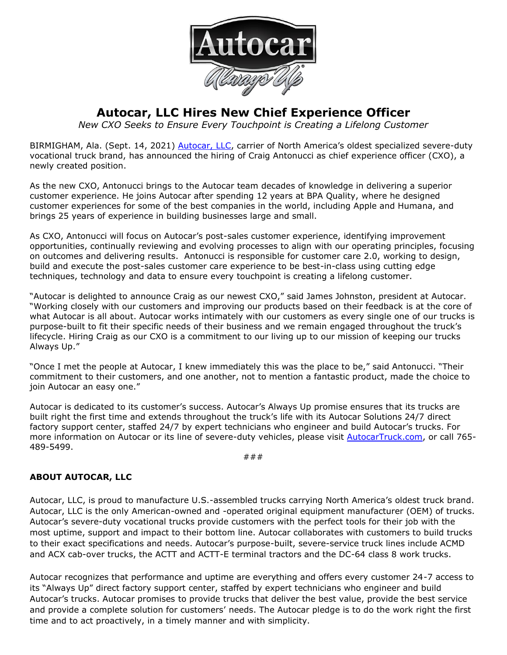

## **Autocar, LLC Hires New Chief Experience Officer**

*New CXO Seeks to Ensure Every Touchpoint is Creating a Lifelong Customer*

BIRMIGHAM, Ala. (Sept. 14, 2021) [Autocar, LLC](https://www.autocartruck.com/autocar-difference/?utm_source=CXO&utm_medium=Press+Release), carrier of North America's oldest specialized severe-duty vocational truck brand, has announced the hiring of Craig Antonucci as chief experience officer (CXO), a newly created position.

As the new CXO, Antonucci brings to the Autocar team decades of knowledge in delivering a superior customer experience. He joins Autocar after spending 12 years at BPA Quality, where he designed customer experiences for some of the best companies in the world, including Apple and Humana, and brings 25 years of experience in building businesses large and small.

As CXO, Antonucci will focus on Autocar's post-sales customer experience, identifying improvement opportunities, continually reviewing and evolving processes to align with our operating principles, focusing on outcomes and delivering results. Antonucci is responsible for customer care 2.0, working to design, build and execute the post-sales customer care experience to be best-in-class using cutting edge techniques, technology and data to ensure every touchpoint is creating a lifelong customer.

"Autocar is delighted to announce Craig as our newest CXO," said James Johnston, president at Autocar. "Working closely with our customers and improving our products based on their feedback is at the core of what Autocar is all about. Autocar works intimately with our customers as every single one of our trucks is purpose-built to fit their specific needs of their business and we remain engaged throughout the truck's lifecycle. Hiring Craig as our CXO is a commitment to our living up to our mission of keeping our trucks Always Up."

"Once I met the people at Autocar, I knew immediately this was the place to be," said Antonucci. "Their commitment to their customers, and one another, not to mention a fantastic product, made the choice to join Autocar an easy one."

Autocar is dedicated to its customer's success. Autocar's Always Up promise ensures that its trucks are built right the first time and extends throughout the truck's life with its Autocar Solutions 24/7 direct factory support center, staffed 24/7 by expert technicians who engineer and build Autocar's trucks. For more information on Autocar or its line of severe-duty vehicles, please visit [AutocarTruck.com,](https://www.autocartruck.com/autocar-difference/?utm_source=CXO&utm_medium=Press+Release) or call 765-489-5499.

###

## **ABOUT AUTOCAR, LLC**

Autocar, LLC, is proud to manufacture U.S.-assembled trucks carrying North America's oldest truck brand. Autocar, LLC is the only American-owned and -operated original equipment manufacturer (OEM) of trucks. Autocar's severe-duty vocational trucks provide customers with the perfect tools for their job with the most uptime, support and impact to their bottom line. Autocar collaborates with customers to build trucks to their exact specifications and needs. Autocar's purpose-built, severe-service truck lines include ACMD and ACX cab-over trucks, the ACTT and ACTT-E terminal tractors and the DC-64 class 8 work trucks.

Autocar recognizes that performance and uptime are everything and offers every customer 24-7 access to its "Always Up" direct factory support center, staffed by expert technicians who engineer and build Autocar's trucks. Autocar promises to provide trucks that deliver the best value, provide the best service and provide a complete solution for customers' needs. The Autocar pledge is to do the work right the first time and to act proactively, in a timely manner and with simplicity.